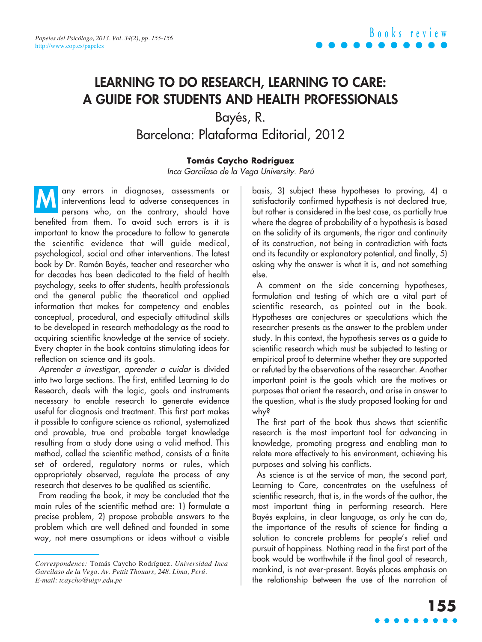## **LEARNING TO DO RESEARCH, LEARNING TO CARE: A GUIDE FOR STUDENTS AND HEALTH PROFESSIONALS**

Bayés, R. Barcelona: Plataforma Editorial, 2012

### **Tomás Caycho Rodríguez**

Inca Garcilaso de la Vega University. Perú

any errors in diagnoses, assessments or interventions lead to adverse consequences in persons who, on the contrary, should have benefited from them. To avoid such errors is it is important to know the procedure to follow to generate the scientific evidence that will guide medical, psychological, social and other interventions. The latest book by Dr. Ramón Bayés, teacher and researcher who for decades has been dedicated to the field of health psychology, seeks to offer students, health professionals and the general public the theoretical and applied information that makes for competency and enables conceptual, procedural, and especially attitudinal skills to be developed in research methodology as the road to acquiring scientific knowledge at the service of society. Every chapter in the book contains stimulating ideas for reflection on science and its goals. **M**

Aprender a investigar, aprender a cuidar is divided into two large sections. The first, entitled Learning to do Research, deals with the logic, goals and instruments necessary to enable research to generate evidence useful for diagnosis and treatment. This first part makes it possible to configure science as rational, systematized and provable, true and probable target knowledge resulting from a study done using a valid method. This method, called the scientific method, consists of a finite set of ordered, regulatory norms or rules, which appropriately observed, regulate the process of any research that deserves to be qualified as scientific.

From reading the book, it may be concluded that the main rules of the scientific method are: 1) formulate a precise problem, 2) propose probable answers to the problem which are well defined and founded in some way, not mere assumptions or ideas without a visible basis, 3) subject these hypotheses to proving, 4) a satisfactorily confirmed hypothesis is not declared true, but rather is considered in the best case, as partially true where the degree of probability of a hypothesis is based on the solidity of its arguments, the rigor and continuity of its construction, not being in contradiction with facts and its fecundity or explanatory potential, and finally, 5) asking why the answer is what it is, and not something else.

A comment on the side concerning hypotheses, formulation and testing of which are a vital part of scientific research, as pointed out in the book. Hypotheses are conjectures or speculations which the researcher presents as the answer to the problem under study. In this context, the hypothesis serves as a guide to scientific research which must be subjected to testing or empirical proof to determine whether they are supported or refuted by the observations of the researcher. Another important point is the goals which are the motives or purposes that orient the research, and arise in answer to the question, what is the study proposed looking for and why?

The first part of the book thus shows that scientific research is the most important tool for advancing in knowledge, promoting progress and enabling man to relate more effectively to his environment, achieving his purposes and solving his conflicts.

As science is at the service of man, the second part, Learning to Care, concentrates on the usefulness of scientific research, that is, in the words of the author, the most important thing in performing research. Here Bayés explains, in clear language, as only he can do, the importance of the results of science for finding a solution to concrete problems for people's relief and pursuit of happiness. Nothing read in the first part of the book would be worthwhile if the final goal of research, mankind, is not ever-present. Bayés places emphasis on the relationship between the use of the narration of

*Correspondence:* Tomás Caycho Rodríguez. *Universidad Inca Garcilaso de la Vega. Av. Pettit Thouars, 248. Lima, Perú. E-mail: tcaycho@uigv.edu.pe*